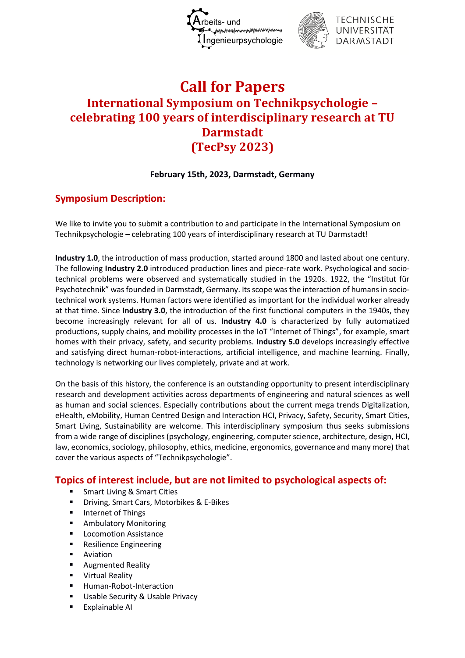



# **Call for Papers International Symposium on Technikpsychologie – celebrating 100 years of interdisciplinary research at TU Darmstadt (TecPsy 2023)**

#### **February 15th, 2023, Darmstadt, Germany**

# **Symposium Description:**

We like to invite you to submit a contribution to and participate in the International Symposium on Technikpsychologie – celebrating 100 years of interdisciplinary research at TU Darmstadt!

**Industry 1.0**, the introduction of mass production, started around 1800 and lasted about one century. The following **Industry 2.0** introduced production lines and piece-rate work. Psychological and sociotechnical problems were observed and systematically studied in the 1920s. 1922, the "Institut für Psychotechnik" was founded in Darmstadt, Germany. Its scope was the interaction of humans in sociotechnical work systems. Human factors were identified as important for the individual worker already at that time. Since **Industry 3.0**, the introduction of the first functional computers in the 1940s, they become increasingly relevant for all of us. **Industry 4.0** is characterized by fully automatized productions, supply chains, and mobility processes in the IoT "Internet of Things", for example, smart homes with their privacy, safety, and security problems. **Industry 5.0** develops increasingly effective and satisfying direct human-robot-interactions, artificial intelligence, and machine learning. Finally, technology is networking our lives completely, private and at work.

On the basis of this history, the conference is an outstanding opportunity to present interdisciplinary research and development activities across departments of engineering and natural sciences as well as human and social sciences. Especially contributions about the current mega trends Digitalization, eHealth, eMobility, Human Centred Design and Interaction HCI, Privacy, Safety, Security, Smart Cities, Smart Living, Sustainability are welcome. This interdisciplinary symposium thus seeks submissions from a wide range of disciplines (psychology, engineering, computer science, architecture, design, HCI, law, economics, sociology, philosophy, ethics, medicine, ergonomics, governance and many more) that cover the various aspects of "Technikpsychologie".

## **Topics of interest include, but are not limited to psychological aspects of:**

- Smart Living & Smart Cities
- Driving, Smart Cars, Motorbikes & E-Bikes
- Internet of Things
- Ambulatory Monitoring
- Locomotion Assistance
- Resilience Engineering
- Aviation
- Augmented Reality
- Virtual Reality
- Human-Robot-Interaction
- Usable Security & Usable Privacy
- Explainable AI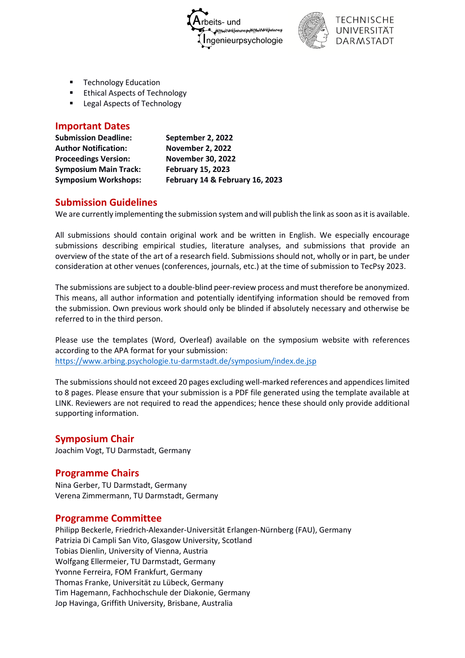



- **Technology Education**
- **Ethical Aspects of Technology**
- Legal Aspects of Technology

#### **Important Dates**

| <b>Submission Deadline:</b>  | September 2, 2022               |
|------------------------------|---------------------------------|
| <b>Author Notification:</b>  | <b>November 2, 2022</b>         |
| <b>Proceedings Version:</b>  | <b>November 30, 2022</b>        |
| <b>Symposium Main Track:</b> | <b>February 15, 2023</b>        |
| <b>Symposium Workshops:</b>  | February 14 & February 16, 2023 |

#### **Submission Guidelines**

We are currently implementing the submission system and will publish the link as soon as it is available.

All submissions should contain original work and be written in English. We especially encourage submissions describing empirical studies, literature analyses, and submissions that provide an overview of the state of the art of a research field. Submissions should not, wholly or in part, be under consideration at other venues (conferences, journals, etc.) at the time of submission to TecPsy 2023.

The submissions are subject to a double-blind peer-review process and must therefore be anonymized. This means, all author information and potentially identifying information should be removed from the submission. Own previous work should only be blinded if absolutely necessary and otherwise be referred to in the third person.

Please use the templates (Word, Overleaf) available on the symposium website with references according to the APA format for your submission: <https://www.arbing.psychologie.tu-darmstadt.de/symposium/index.de.jsp>

The submissions should not exceed 20 pages excluding well-marked references and appendiceslimited to 8 pages. Please ensure that your submission is a PDF file generated using the template available at LINK. Reviewers are not required to read the appendices; hence these should only provide additional supporting information.

## **Symposium Chair**

Joachim Vogt, TU Darmstadt, Germany

## **Programme Chairs**

Nina Gerber, TU Darmstadt, Germany Verena Zimmermann, TU Darmstadt, Germany

#### **Programme Committee**

Philipp Beckerle, Friedrich-Alexander-Universität Erlangen-Nürnberg (FAU), Germany Patrizia Di Campli San Vito, Glasgow University, Scotland Tobias Dienlin, University of Vienna, Austria Wolfgang Ellermeier, TU Darmstadt, Germany Yvonne Ferreira, FOM Frankfurt, Germany Thomas Franke, Universität zu Lübeck, Germany Tim Hagemann, Fachhochschule der Diakonie, Germany Jop Havinga, Griffith University, Brisbane, Australia